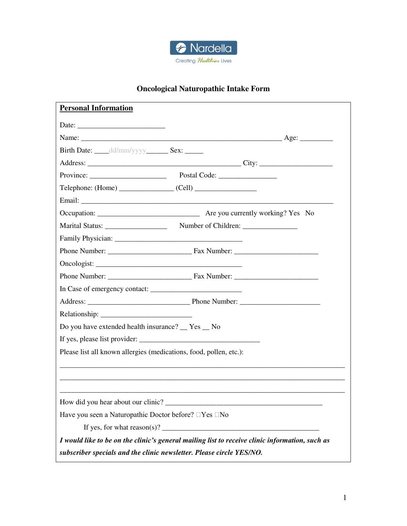

## **Oncological Naturopathic Intake Form**

| <b>Personal Information</b>                                                                                          |
|----------------------------------------------------------------------------------------------------------------------|
|                                                                                                                      |
|                                                                                                                      |
| Birth Date: dd/mm/yyyy Sex:                                                                                          |
|                                                                                                                      |
|                                                                                                                      |
| $Telephone: (Home)$ $(Cell)$ $(Cell)$                                                                                |
|                                                                                                                      |
|                                                                                                                      |
|                                                                                                                      |
|                                                                                                                      |
|                                                                                                                      |
|                                                                                                                      |
| Phone Number: Fax Number:                                                                                            |
|                                                                                                                      |
|                                                                                                                      |
|                                                                                                                      |
| Do you have extended health insurance? Tes No                                                                        |
|                                                                                                                      |
| Please list all known allergies (medications, food, pollen, etc.):                                                   |
| <u> 1989 - Andrea Stadt Britain, amerikan berlindar besteht besteht aus dem besteht aus dem Britains der Britain</u> |
|                                                                                                                      |
|                                                                                                                      |
| How did you hear about our clinic?                                                                                   |
| Have you seen a Naturopathic Doctor before? $\Box$ Yes $\Box$ No                                                     |
|                                                                                                                      |
| I would like to be on the clinic's general mailing list to receive clinic information, such as                       |
| subscriber specials and the clinic newsletter. Please circle YES/NO.                                                 |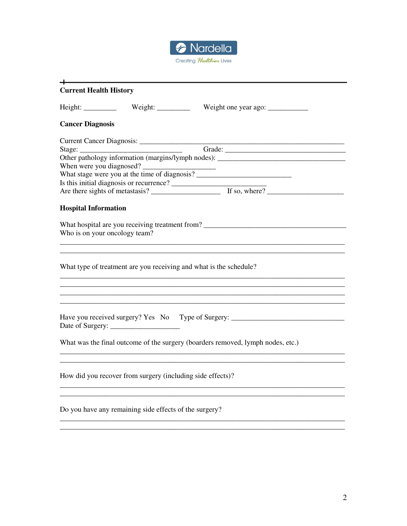

| <b>Current Health History</b>                                                                 |
|-----------------------------------------------------------------------------------------------|
| Height: ____________ Weight: __________ Weight one year ago: _____________                    |
| <b>Cancer Diagnosis</b>                                                                       |
|                                                                                               |
| Grade:                                                                                        |
| Other pathology information (margins/lymph nodes):                                            |
| When were you diagnosed?                                                                      |
| What stage were you at the time of diagnosis?                                                 |
| Is this initial diagnosis or recurrence?<br>Are there sights of metastasis?<br>The so, where? |
|                                                                                               |
| <b>Hospital Information</b>                                                                   |
| What hospital are you receiving treatment from?<br>Who is on your oncology team?              |
| What type of treatment are you receiving and what is the schedule?                            |
|                                                                                               |
| Have you received surgery? Yes No Type of Surgery: _____________________________              |
| What was the final outcome of the surgery (boarders removed, lymph nodes, etc.)               |
| How did you recover from surgery (including side effects)?                                    |
| Do you have any remaining side effects of the surgery?                                        |

\_\_\_\_\_\_\_\_\_\_\_\_\_\_\_\_\_\_\_\_\_\_\_\_\_\_\_\_\_\_\_\_\_\_\_\_\_\_\_\_\_\_\_\_\_\_\_\_\_\_\_\_\_\_\_\_\_\_\_\_\_\_\_\_\_\_\_\_\_\_\_\_\_\_\_\_\_\_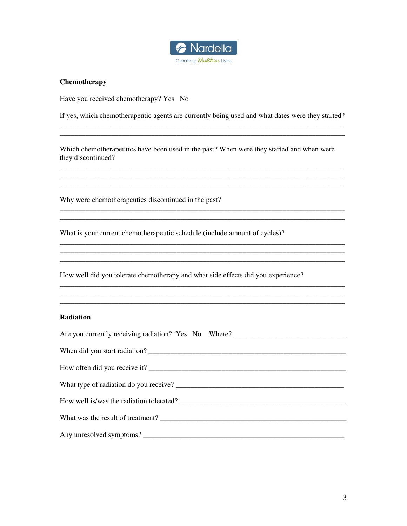

## **Chemotherapy**

Have you received chemotherapy? Yes No

If yes, which chemotherapeutic agents are currently being used and what dates were they started? \_\_\_\_\_\_\_\_\_\_\_\_\_\_\_\_\_\_\_\_\_\_\_\_\_\_\_\_\_\_\_\_\_\_\_\_\_\_\_\_\_\_\_\_\_\_\_\_\_\_\_\_\_\_\_\_\_\_\_\_\_\_\_\_\_\_\_\_\_\_\_\_\_\_\_\_\_\_

Which chemotherapeutics have been used in the past? When were they started and when were they discontinued?

\_\_\_\_\_\_\_\_\_\_\_\_\_\_\_\_\_\_\_\_\_\_\_\_\_\_\_\_\_\_\_\_\_\_\_\_\_\_\_\_\_\_\_\_\_\_\_\_\_\_\_\_\_\_\_\_\_\_\_\_\_\_\_\_\_\_\_\_\_\_\_\_\_\_\_\_\_\_ \_\_\_\_\_\_\_\_\_\_\_\_\_\_\_\_\_\_\_\_\_\_\_\_\_\_\_\_\_\_\_\_\_\_\_\_\_\_\_\_\_\_\_\_\_\_\_\_\_\_\_\_\_\_\_\_\_\_\_\_\_\_\_\_\_\_\_\_\_\_\_\_\_\_\_\_\_\_ \_\_\_\_\_\_\_\_\_\_\_\_\_\_\_\_\_\_\_\_\_\_\_\_\_\_\_\_\_\_\_\_\_\_\_\_\_\_\_\_\_\_\_\_\_\_\_\_\_\_\_\_\_\_\_\_\_\_\_\_\_\_\_\_\_\_\_\_\_\_\_\_\_\_\_\_\_\_

\_\_\_\_\_\_\_\_\_\_\_\_\_\_\_\_\_\_\_\_\_\_\_\_\_\_\_\_\_\_\_\_\_\_\_\_\_\_\_\_\_\_\_\_\_\_\_\_\_\_\_\_\_\_\_\_\_\_\_\_\_\_\_\_\_\_\_\_\_\_\_\_\_\_\_\_\_\_

\_\_\_\_\_\_\_\_\_\_\_\_\_\_\_\_\_\_\_\_\_\_\_\_\_\_\_\_\_\_\_\_\_\_\_\_\_\_\_\_\_\_\_\_\_\_\_\_\_\_\_\_\_\_\_\_\_\_\_\_\_\_\_\_\_\_\_\_\_\_\_\_\_\_\_\_\_\_

\_\_\_\_\_\_\_\_\_\_\_\_\_\_\_\_\_\_\_\_\_\_\_\_\_\_\_\_\_\_\_\_\_\_\_\_\_\_\_\_\_\_\_\_\_\_\_\_\_\_\_\_\_\_\_\_\_\_\_\_\_\_\_\_\_\_\_\_\_\_\_\_\_\_\_\_\_\_ \_\_\_\_\_\_\_\_\_\_\_\_\_\_\_\_\_\_\_\_\_\_\_\_\_\_\_\_\_\_\_\_\_\_\_\_\_\_\_\_\_\_\_\_\_\_\_\_\_\_\_\_\_\_\_\_\_\_\_\_\_\_\_\_\_\_\_\_\_\_\_\_\_\_\_\_\_\_ \_\_\_\_\_\_\_\_\_\_\_\_\_\_\_\_\_\_\_\_\_\_\_\_\_\_\_\_\_\_\_\_\_\_\_\_\_\_\_\_\_\_\_\_\_\_\_\_\_\_\_\_\_\_\_\_\_\_\_\_\_\_\_\_\_\_\_\_\_\_\_\_\_\_\_\_\_\_

Why were chemotherapeutics discontinued in the past?

What is your current chemotherapeutic schedule (include amount of cycles)?

How well did you tolerate chemotherapy and what side effects did you experience?

#### **Radiation**

| How well is/was the radiation tolerated?                                                                                                                                                                                             |
|--------------------------------------------------------------------------------------------------------------------------------------------------------------------------------------------------------------------------------------|
|                                                                                                                                                                                                                                      |
| Any unresolved symptoms?<br><u> and</u> the contract of the contract of the contract of the contract of the contract of the contract of the contract of the contract of the contract of the contract of the contract of the contract |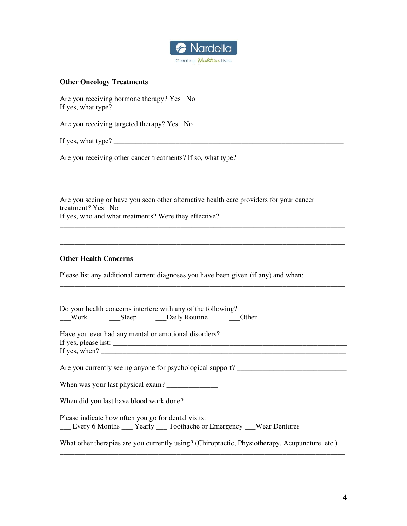

## **Other Oncology Treatments**

Are you receiving hormone therapy? Yes No If yes, what type? \_\_\_\_\_\_\_\_\_\_\_\_\_\_\_\_\_\_\_\_\_\_\_\_\_\_\_\_\_\_\_\_\_\_\_\_\_\_\_\_\_\_\_\_\_\_\_\_\_\_\_\_\_\_\_\_\_\_\_\_\_\_\_

Are you receiving targeted therapy? Yes No

If yes, what type? \_\_\_\_\_\_\_\_\_\_\_\_\_\_\_\_\_\_\_\_\_\_\_\_\_\_\_\_\_\_\_\_\_\_\_\_\_\_\_\_\_\_\_\_\_\_\_\_\_\_\_\_\_\_\_\_\_\_\_\_\_\_\_

Are you receiving other cancer treatments? If so, what type?

Are you seeing or have you seen other alternative health care providers for your cancer treatment? Yes No If yes, who and what treatments? Were they effective?

\_\_\_\_\_\_\_\_\_\_\_\_\_\_\_\_\_\_\_\_\_\_\_\_\_\_\_\_\_\_\_\_\_\_\_\_\_\_\_\_\_\_\_\_\_\_\_\_\_\_\_\_\_\_\_\_\_\_\_\_\_\_\_\_\_\_\_\_\_\_\_\_\_\_\_\_\_\_ \_\_\_\_\_\_\_\_\_\_\_\_\_\_\_\_\_\_\_\_\_\_\_\_\_\_\_\_\_\_\_\_\_\_\_\_\_\_\_\_\_\_\_\_\_\_\_\_\_\_\_\_\_\_\_\_\_\_\_\_\_\_\_\_\_\_\_\_\_\_\_\_\_\_\_\_\_\_ \_\_\_\_\_\_\_\_\_\_\_\_\_\_\_\_\_\_\_\_\_\_\_\_\_\_\_\_\_\_\_\_\_\_\_\_\_\_\_\_\_\_\_\_\_\_\_\_\_\_\_\_\_\_\_\_\_\_\_\_\_\_\_\_\_\_\_\_\_\_\_\_\_\_\_\_\_\_

\_\_\_\_\_\_\_\_\_\_\_\_\_\_\_\_\_\_\_\_\_\_\_\_\_\_\_\_\_\_\_\_\_\_\_\_\_\_\_\_\_\_\_\_\_\_\_\_\_\_\_\_\_\_\_\_\_\_\_\_\_\_\_\_\_\_\_\_\_\_\_\_\_\_\_\_\_\_ \_\_\_\_\_\_\_\_\_\_\_\_\_\_\_\_\_\_\_\_\_\_\_\_\_\_\_\_\_\_\_\_\_\_\_\_\_\_\_\_\_\_\_\_\_\_\_\_\_\_\_\_\_\_\_\_\_\_\_\_\_\_\_\_\_\_\_\_\_\_\_\_\_\_\_\_\_\_

\_\_\_\_\_\_\_\_\_\_\_\_\_\_\_\_\_\_\_\_\_\_\_\_\_\_\_\_\_\_\_\_\_\_\_\_\_\_\_\_\_\_\_\_\_\_\_\_\_\_\_\_\_\_\_\_\_\_\_\_\_\_\_\_\_\_\_\_\_\_\_\_\_\_\_\_\_\_ \_\_\_\_\_\_\_\_\_\_\_\_\_\_\_\_\_\_\_\_\_\_\_\_\_\_\_\_\_\_\_\_\_\_\_\_\_\_\_\_\_\_\_\_\_\_\_\_\_\_\_\_\_\_\_\_\_\_\_\_\_\_\_\_\_\_\_\_\_\_\_\_\_\_\_\_\_\_

#### **Other Health Concerns**

Please list any additional current diagnoses you have been given (if any) and when:

| Do your health concerns interfere with any of the following?<br>__Work ______Sleep __________Daily Routine _________Other     |
|-------------------------------------------------------------------------------------------------------------------------------|
|                                                                                                                               |
| Are you currently seeing anyone for psychological support?                                                                    |
| When was your last physical exam?                                                                                             |
| When did you last have blood work done?                                                                                       |
| Please indicate how often you go for dental visits:<br>__ Every 6 Months __ Yearly __ Toothache or Emergency __ Wear Dentures |
| What other therapies are you currently using? (Chiropractic, Physiotherapy, Acupuncture, etc.)                                |

\_\_\_\_\_\_\_\_\_\_\_\_\_\_\_\_\_\_\_\_\_\_\_\_\_\_\_\_\_\_\_\_\_\_\_\_\_\_\_\_\_\_\_\_\_\_\_\_\_\_\_\_\_\_\_\_\_\_\_\_\_\_\_\_\_\_\_\_\_\_\_\_\_\_\_\_\_\_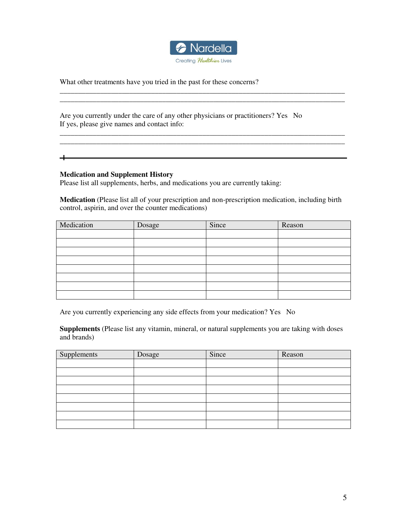

\_\_\_\_\_\_\_\_\_\_\_\_\_\_\_\_\_\_\_\_\_\_\_\_\_\_\_\_\_\_\_\_\_\_\_\_\_\_\_\_\_\_\_\_\_\_\_\_\_\_\_\_\_\_\_\_\_\_\_\_\_\_\_\_\_\_\_\_\_\_\_\_\_\_\_\_\_\_ \_\_\_\_\_\_\_\_\_\_\_\_\_\_\_\_\_\_\_\_\_\_\_\_\_\_\_\_\_\_\_\_\_\_\_\_\_\_\_\_\_\_\_\_\_\_\_\_\_\_\_\_\_\_\_\_\_\_\_\_\_\_\_\_\_\_\_\_\_\_\_\_\_\_\_\_\_\_

\_\_\_\_\_\_\_\_\_\_\_\_\_\_\_\_\_\_\_\_\_\_\_\_\_\_\_\_\_\_\_\_\_\_\_\_\_\_\_\_\_\_\_\_\_\_\_\_\_\_\_\_\_\_\_\_\_\_\_\_\_\_\_\_\_\_\_\_\_\_\_\_\_\_\_\_\_\_  $\mathcal{L}_\text{max}$  , and the set of the set of the set of the set of the set of the set of the set of the set of the set of the set of the set of the set of the set of the set of the set of the set of the set of the set of the

What other treatments have you tried in the past for these concerns?

Are you currently under the care of any other physicians or practitioners? Yes No If yes, please give names and contact info:

 $\overline{\phantom{0}}$ 

## **Medication and Supplement History**

Please list all supplements, herbs, and medications you are currently taking:

**Medication** (Please list all of your prescription and non-prescription medication, including birth control, aspirin, and over the counter medications)

| Medication | Dosage | Since | Reason |
|------------|--------|-------|--------|
|            |        |       |        |
|            |        |       |        |
|            |        |       |        |
|            |        |       |        |
|            |        |       |        |
|            |        |       |        |
|            |        |       |        |
|            |        |       |        |

Are you currently experiencing any side effects from your medication? Yes No

**Supplements** (Please list any vitamin, mineral, or natural supplements you are taking with doses and brands)

| Supplements | Dosage | Since | Reason |
|-------------|--------|-------|--------|
|             |        |       |        |
|             |        |       |        |
|             |        |       |        |
|             |        |       |        |
|             |        |       |        |
|             |        |       |        |
|             |        |       |        |
|             |        |       |        |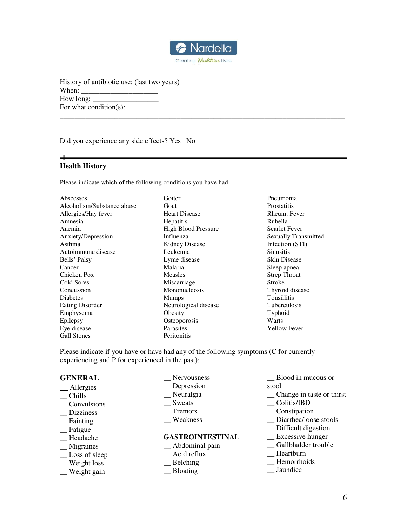

\_\_\_\_\_\_\_\_\_\_\_\_\_\_\_\_\_\_\_\_\_\_\_\_\_\_\_\_\_\_\_\_\_\_\_\_\_\_\_\_\_\_\_\_\_\_\_\_\_\_\_\_\_\_\_\_\_\_\_\_\_\_\_\_\_\_\_\_\_\_\_\_\_\_\_\_\_\_ \_\_\_\_\_\_\_\_\_\_\_\_\_\_\_\_\_\_\_\_\_\_\_\_\_\_\_\_\_\_\_\_\_\_\_\_\_\_\_\_\_\_\_\_\_\_\_\_\_\_\_\_\_\_\_\_\_\_\_\_\_\_\_\_\_\_\_\_\_\_\_\_\_\_\_\_\_\_

History of antibiotic use: (last two years) When: How long:  $\Box$ For what condition(s):

Did you experience any side effects? Yes No

#### ┿ **Health History**

Please indicate which of the following conditions you have had:

Abscesses Alcoholism/Substance abuse Allergies/Hay fever Amnesia Anemia Anxiety/Depression Asthma Autoimmune disease Bells' Palsy Cancer Chicken Pox Cold Sores **Concussion** Diabetes Eating Disorder Emphysema Epilepsy Eye disease Gall Stones

Goiter Gout Heart Disease **Hepatitis** High Blood Pressure Influenza Kidney Disease Leukemia Lyme disease Malaria Measles Miscarriage Mononucleosis Mumps Neurological disease **Obesity Osteoporosis** Parasites Peritonitis

Pneumonia **Prostatitis** Rheum. Fever Rubella Scarlet Fever Sexually Transmitted Infection (STI) **Sinusitis** Skin Disease Sleep apnea Strep Throat Stroke Thyroid disease Tonsillitis Tuberculosis Typhoid **Warts** Yellow Fever

Please indicate if you have or have had any of the following symptoms (C for currently experiencing and P for experienced in the past):

#### **GENERAL**

- \_\_ Allergies
- $R$  Chills
- \_\_ Convulsions
- \_\_ Dizziness
- \_\_ Fainting
- \_\_ Fatigue
- \_\_ Headache
- \_\_ Migraines
- \_\_ Loss of sleep
- \_\_ Weight loss
- \_\_ Weight gain

\_\_ Nervousness

- \_\_ Depression
- \_\_ Neuralgia
- \_\_ Sweats
- \_\_ Tremors
- \_\_ Weakness

#### **GASTROINTESTINAL**

- \_\_ Abdominal pain
- $\overline{\phantom{a}}$  Acid reflux
- \_\_ Belching
- \_\_ Bloating
- \_\_ Blood in mucous or stool
- \_\_ Change in taste or thirst
- \_\_ Colitis/IBD
- \_\_ Constipation
- \_\_ Diarrhea/loose stools
- \_\_ Difficult digestion
- \_\_ Excessive hunger
- \_\_ Gallbladder trouble
- \_\_ Heartburn
- \_\_ Hemorrhoids
- \_\_ Jaundice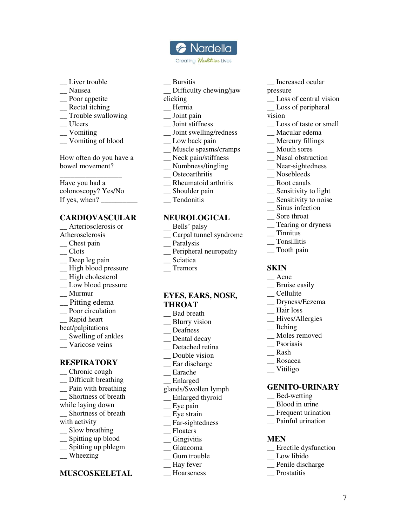# **a** Nardella

Creating Healthier Lives

- Liver trouble
- \_\_ Nausea
- \_\_ Poor appetite
- \_\_ Rectal itching
- \_\_ Trouble swallowing
- \_\_ Ulcers
- \_\_ Vomiting
- $\equiv$  Vomiting of blood

How often do you have a bowel movement?

\_\_\_\_\_\_\_\_\_\_\_\_\_\_\_\_\_ Have you had a colonoscopy? Yes/No If yes, when?  $\_\_$ 

## **CARDIOVASCULAR**

- \_\_ Arteriosclerosis or Atherosclerosis
- \_\_ Chest pain
- $\overline{\phantom{a}}$  Clots
- \_\_ Deep leg pain
- \_\_ High blood pressure
- \_\_ High cholesterol
- \_\_ Low blood pressure
- \_\_ Murmur
- \_\_ Pitting edema
- \_\_ Poor circulation
- Rapid heart
- beat/palpitations
- \_\_ Swelling of ankles
- \_\_ Varicose veins

### **RESPIRATORY**

- \_\_ Chronic cough
- \_\_ Difficult breathing
- \_\_ Pain with breathing
- \_\_ Shortness of breath
- while laying down
- \_\_ Shortness of breath
- with activity
- \_\_ Slow breathing
- \_\_ Spitting up blood
- \_\_ Spitting up phlegm
- \_\_ Wheezing

## **MUSCOSKELETAL**

- \_\_ Bursitis
- Difficulty chewing/jaw
- clicking
- \_\_ Hernia
- \_\_ Joint pain
- \_\_ Joint stiffness
- \_\_ Joint swelling/redness
- \_ Low back pain
- \_\_ Muscle spasms/cramps
- \_\_ Neck pain/stiffness
- \_\_ Numbness/tingling
- \_\_ Osteoarthritis
- \_\_ Rheumatoid arthritis
- \_\_ Shoulder pain
- \_\_ Tendonitis

## **NEUROLOGICAL**

- Bells' palsy
- \_\_ Carpal tunnel syndrome
- \_\_ Paralysis
- \_\_ Peripheral neuropathy
- \_\_ Sciatica
- \_\_ Tremors

## **EYES, EARS, NOSE, THROAT**

- \_\_ Bad breath
- \_\_ Blurry vision
- \_\_ Deafness
- \_\_ Dental decay
- \_\_ Detached retina
- Double vision
- \_\_ Ear discharge
- \_\_ Earache
- \_\_ Enlarged
- glands/Swollen lymph
- \_\_ Enlarged thyroid
- \_\_ Eye pain
- \_\_ Eye strain
- \_\_ Far-sightedness
- \_\_ Floaters
- \_\_ Gingivitis
- \_\_ Glaucoma
- \_\_ Gum trouble
- \_\_ Hay fever
- \_\_ Hoarseness
- \_\_ Increased ocular
- pressure
- \_ Loss of central vision
- \_\_ Loss of peripheral
- vision
	- \_\_ Loss of taste or smell
	- \_\_ Macular edema
- \_\_ Mercury fillings
- \_\_ Mouth sores
- \_\_ Nasal obstruction
- \_\_ Near-sightedness
- \_\_ Nosebleeds
- \_\_ Root canals
- \_\_ Sensitivity to light
- \_\_ Sensitivity to noise

7

\_\_ Sinus infection

\_\_ Bruise easily \_\_ Cellulite

\_\_ Hair loss \_\_ Hives/Allergies

\_\_ Itching

\_\_ Dryness/Eczema

\_\_ Moles removed \_\_ Psoriasis \_\_ Rash \_\_ Rosacea \_\_ Vitiligo

**GENITO-URINARY** 

\_\_ Erectile dysfunction

\_\_ Bed-wetting \_\_ Blood in urine \_\_ Frequent urination \_\_ Painful urination

\_\_ Low libido \_\_ Penile discharge \_\_ Prostatitis

**MEN** 

\_\_ Sore throat \_\_ Tearing or dryness

\_\_ Tinnitus \_\_ Tonsillitis \_\_ Tooth pain

**SKIN**  \_\_ Acne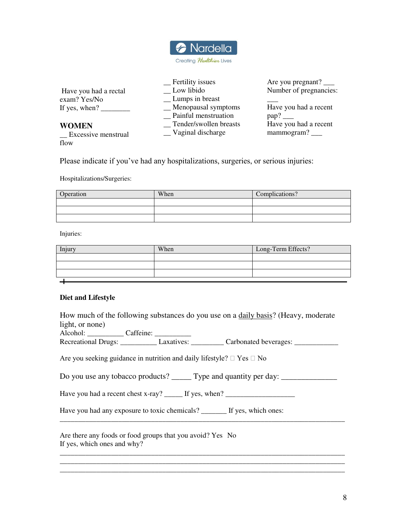

|                               | _ Fertility issues     | Are you pregnant? $\_\_$ |
|-------------------------------|------------------------|--------------------------|
| Have you had a rectal         | Low libido             | Number of pregnancies:   |
| exam? Yes/No                  | _ Lumps in breast      |                          |
| If yes, when? $\qquad \qquad$ | _Menopausal symptoms   | Have you had a recent    |
|                               | Painful menstruation   | pap?                     |
| <b>WOMEN</b>                  | Tender/swollen breasts | Have you had a recent    |
| $\equiv$ Excessive menstrual  | _Vaginal discharge     | mammogram? __            |
| flow                          |                        |                          |

Please indicate if you've had any hospitalizations, surgeries, or serious injuries:

Hospitalizations/Surgeries:

| Operation | When | Complications? |
|-----------|------|----------------|
|           |      |                |
|           |      |                |
|           |      |                |

Injuries:

| Injury | When | Long-Term Effects? |
|--------|------|--------------------|
|        |      |                    |
|        |      |                    |
|        |      |                    |
|        |      |                    |

## **Diet and Lifestyle**

How much of the following substances do you use on a daily basis? (Heavy, moderate light, or none)

| Alcohol:            | Caffeine:  |                       |  |
|---------------------|------------|-----------------------|--|
| Recreational Drugs: | Laxatives: | Carbonated beverages: |  |

Are you seeking guidance in nutrition and daily lifestyle?  $\Box$  Yes  $\Box$  No

Do you use any tobacco products? \_\_\_\_\_ Type and quantity per day: \_\_\_\_\_\_\_\_\_\_\_\_\_\_

\_\_\_\_\_\_\_\_\_\_\_\_\_\_\_\_\_\_\_\_\_\_\_\_\_\_\_\_\_\_\_\_\_\_\_\_\_\_\_\_\_\_\_\_\_\_\_\_\_\_\_\_\_\_\_\_\_\_\_\_\_\_\_\_\_\_\_\_\_\_\_\_\_\_\_\_\_\_

\_\_\_\_\_\_\_\_\_\_\_\_\_\_\_\_\_\_\_\_\_\_\_\_\_\_\_\_\_\_\_\_\_\_\_\_\_\_\_\_\_\_\_\_\_\_\_\_\_\_\_\_\_\_\_\_\_\_\_\_\_\_\_\_\_\_\_\_\_\_\_\_\_\_\_\_\_\_ \_\_\_\_\_\_\_\_\_\_\_\_\_\_\_\_\_\_\_\_\_\_\_\_\_\_\_\_\_\_\_\_\_\_\_\_\_\_\_\_\_\_\_\_\_\_\_\_\_\_\_\_\_\_\_\_\_\_\_\_\_\_\_\_\_\_\_\_\_\_\_\_\_\_\_\_\_\_ \_\_\_\_\_\_\_\_\_\_\_\_\_\_\_\_\_\_\_\_\_\_\_\_\_\_\_\_\_\_\_\_\_\_\_\_\_\_\_\_\_\_\_\_\_\_\_\_\_\_\_\_\_\_\_\_\_\_\_\_\_\_\_\_\_\_\_\_\_\_\_\_\_\_\_\_\_\_

Have you had a recent chest x-ray? \_\_\_\_\_\_ If yes, when? \_\_\_\_\_\_\_\_\_\_\_\_\_\_\_\_\_\_\_\_\_\_\_\_

Have you had any exposure to toxic chemicals? \_\_\_\_\_\_\_ If yes, which ones:

Are there any foods or food groups that you avoid? Yes No If yes, which ones and why?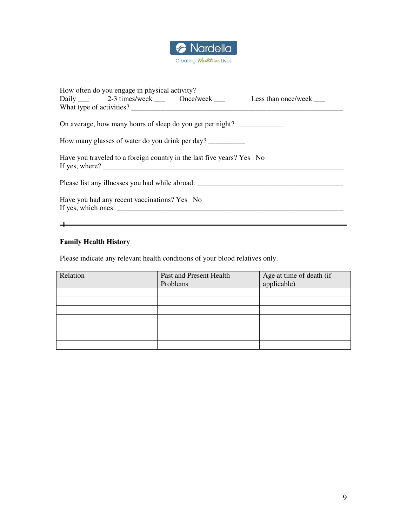

| How often do you engage in physical activity?                          |                                                                      |
|------------------------------------------------------------------------|----------------------------------------------------------------------|
|                                                                        | Daily 2-3 times/week _____ Once/week _____ Less than once/week _____ |
|                                                                        |                                                                      |
| On average, how many hours of sleep do you get per night?              |                                                                      |
| How many glasses of water do you drink per day?                        |                                                                      |
| Have you traveled to a foreign country in the last five years? Yes No  |                                                                      |
|                                                                        | Please list any illnesses you had while abroad:                      |
| Have you had any recent vaccinations? Yes No                           |                                                                      |
| If yes, which ones: $\frac{1}{\sqrt{1-\frac{1}{2}} \cdot \frac{1}{2}}$ |                                                                      |
|                                                                        |                                                                      |
|                                                                        |                                                                      |

## **Family Health History**

Please indicate any relevant health conditions of your blood relatives only.

| Relation | Past and Present Health | Age at time of death (if |
|----------|-------------------------|--------------------------|
|          | Problems                | applicable)              |
|          |                         |                          |
|          |                         |                          |
|          |                         |                          |
|          |                         |                          |
|          |                         |                          |
|          |                         |                          |
|          |                         |                          |